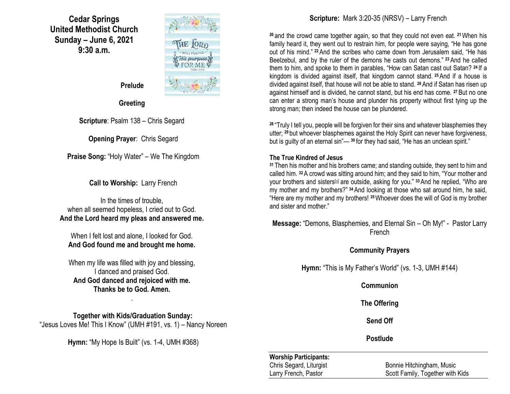**Cedar Springs United Methodist Church Sunday – June 6, 2021 9:30 a.m.**



 **Prelude**

**Greeting**

**Scripture**: Psalm 138 – Chris Segard

**Opening Prayer**: Chris Segard

**Praise Song:** "Holy Water" – We The Kingdom

**Call to Worship:** Larry French

In the times of trouble, when all seemed hopeless, I cried out to God. **And the Lord heard my pleas and answered me.**

When I felt lost and alone, I looked for God. **And God found me and brought me home.**

When my life was filled with joy and blessing, I danced and praised God. **And God danced and rejoiced with me. Thanks be to God. Amen.**

.

**Together with Kids/Graduation Sunday:** "Jesus Loves Me! This I Know" (UMH #191, vs. 1) – Nancy Noreen

**Hymn:** "My Hope Is Built" (vs. 1-4, UMH #368)

## **Scripture:** Mark 3:20-35 (NRSV) – Larry French

**<sup>20</sup>** and the crowd came together again, so that they could not even eat. **<sup>21</sup>**When his family heard it, they went out to restrain him, for people were saying, "He has gone out of his mind." **<sup>22</sup>**And the scribes who came down from Jerusalem said, "He has Beelzebul, and by the ruler of the demons he casts out demons." **<sup>23</sup>**And he called them to him, and spoke to them in parables, "How can Satan cast out Satan? **<sup>24</sup>** If a kingdom is divided against itself, that kingdom cannot stand. **<sup>25</sup>**And if a house is divided against itself, that house will not be able to stand. **<sup>26</sup>**And if Satan has risen up against himself and is divided, he cannot stand, but his end has come. **<sup>27</sup>**But no one can enter a strong man's house and plunder his property without first tying up the strong man; then indeed the house can be plundered.

**<sup>28</sup>** "Truly I tell you, people will be forgiven for their sins and whatever blasphemies they utter; **<sup>29</sup>** but whoever blasphemes against the Holy Spirit can never have forgiveness, but is guilty of an eternal sin"— **<sup>30</sup>** for they had said, "He has an unclean spirit."

### **The True Kindred of Jesus**

**<sup>31</sup>** Then his mother and his brothers came; and standing outside, they sent to him and called him. **<sup>32</sup>**A crowd was sitting around him; and they said to him, "Your mother and your brothers and sisters<sup>[\[a\]](https://www.biblegateway.com/passage/?search=Mark+3%3A20-35&version=NRSV#fen-NRSV-24318a)</sup> are outside, asking for you." <sup>33</sup> And he replied, "Who are my mother and my brothers?" **<sup>34</sup>** And looking at those who sat around him, he said, "Here are my mother and my brothers! **<sup>35</sup>**Whoever does the will of God is my brother and sister and mother."

**Message:** "Demons, Blasphemies, and Eternal Sin – Oh My!" - Pastor Larry French

**Community Prayers**

**Hymn:** "This is My Father's World" (vs. 1-3, UMH #144)

**Communion**

**The Offering**

**Send Off**

**Postlude**

## **Worship Participants:**

Chris Segard, Liturgist Bonnie Hitchingham, Music Larry French, Pastor **Scott Family, Together with Kids** Scott Family, Together with Kids